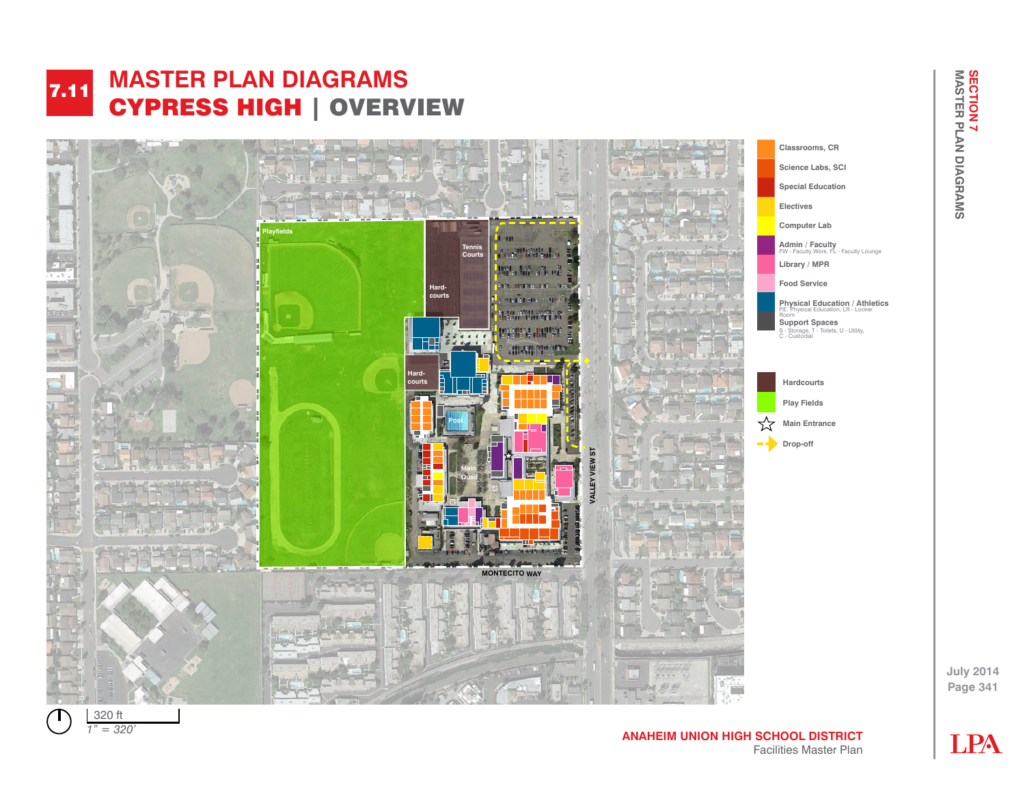## **MASTER PLAN DIAGRAMS**  CYPRESS HIGH | OVERVIEW 7.11 **FALL** AVERESS MADE CHARGE HIGH | EXERCICY





**LPA** 

**Page 341**

**July 2014**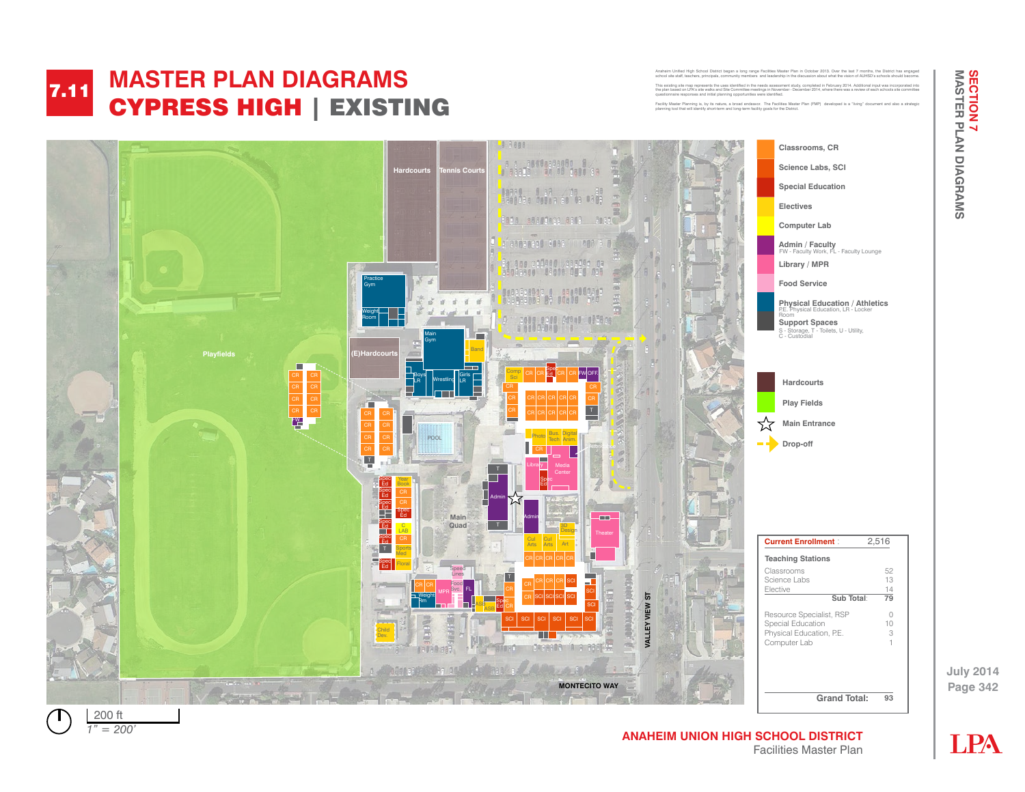### **FALL** CYDDESS HIGH  $\blacksquare$  The  $\blacksquare$  and  $\blacksquare$ **MASTER PLAN DIAGRAMS**  CYPRESS HIGH | EXISTING 7.11

Anaheim School District Bigh School District District District District District District District Plan in October 2013. Over the last 7 months, the District Anaheim District Anaheim District Anaheim District Anaheim Distr school site staff, teachers, principals, community members and leadership in the discussion about what the vision of AUHSD's schools should become. This existing site map represents the uses identified in the needs assessment study, completed in February 2014. Additional input was incorporated into the plan based on LPA's site walks and Site Committee meetings in November - December 2014, where there was a review of each schools site committee questionnaire responses and initial planning opportunities were identified.

The uses identified in the needs assessment in the use in the use of the new study, completed in December 2013 Facility Master Planning is, by its nature, a broad endeavor. The Facilities Master Plan (FMP) developed is a "living" document and also a strategic planning tool that will identify short-term and long-term facility goals for the District.

Anaheim United High School District began a long range Facilities Master District began a long range of the last 7 months, the District has engaged by the District has engaged by the District has engaged by the District ha



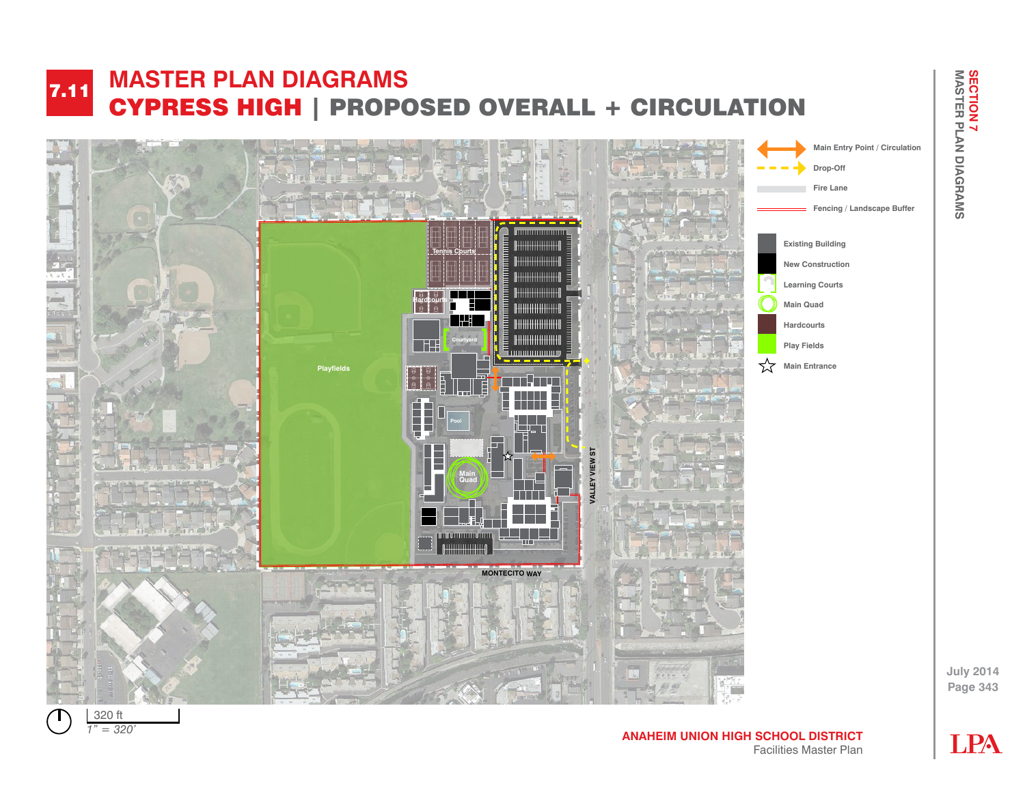## **FALL** AVERESS MADE CH THEST HIS PROPOSED STEMMED **MASTER PLAN DIAGRAMS**  CYPRESS HIGH | PROPOSED OVERALL + CIRCULATION 7.11



*1" = 80' 1" = 320'*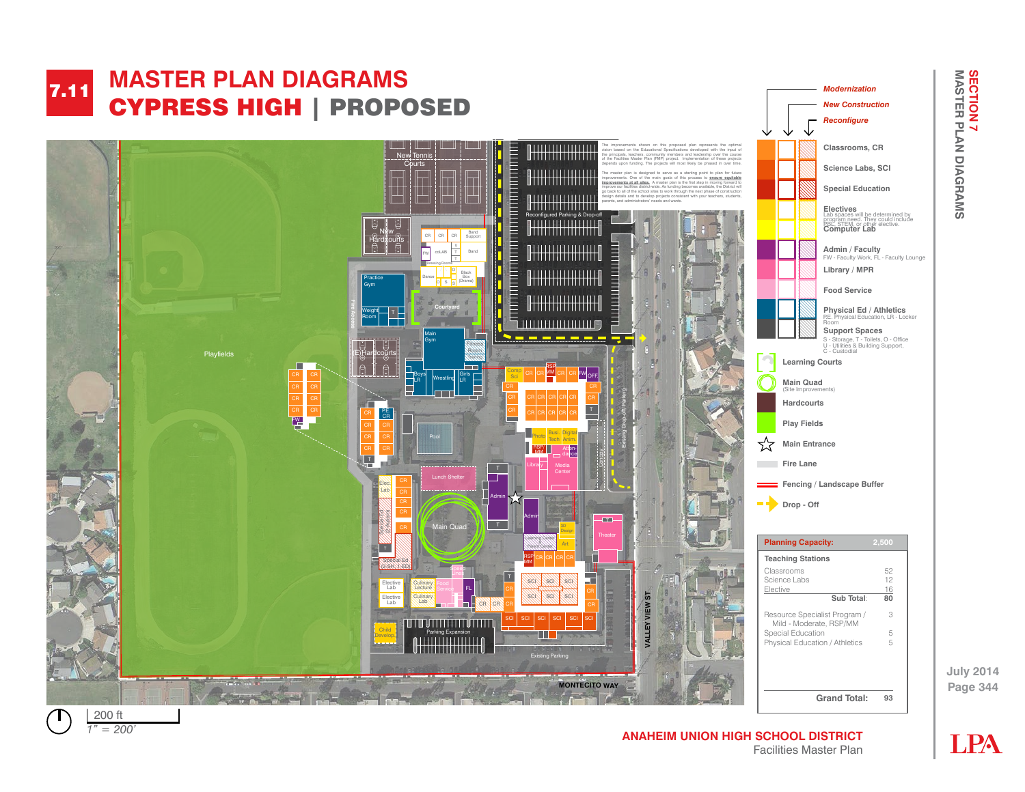

*1" = 50' 1" = 200'*

**LPA** 

**SECTION 7<br>MASTER PLAN DIAGRAMS**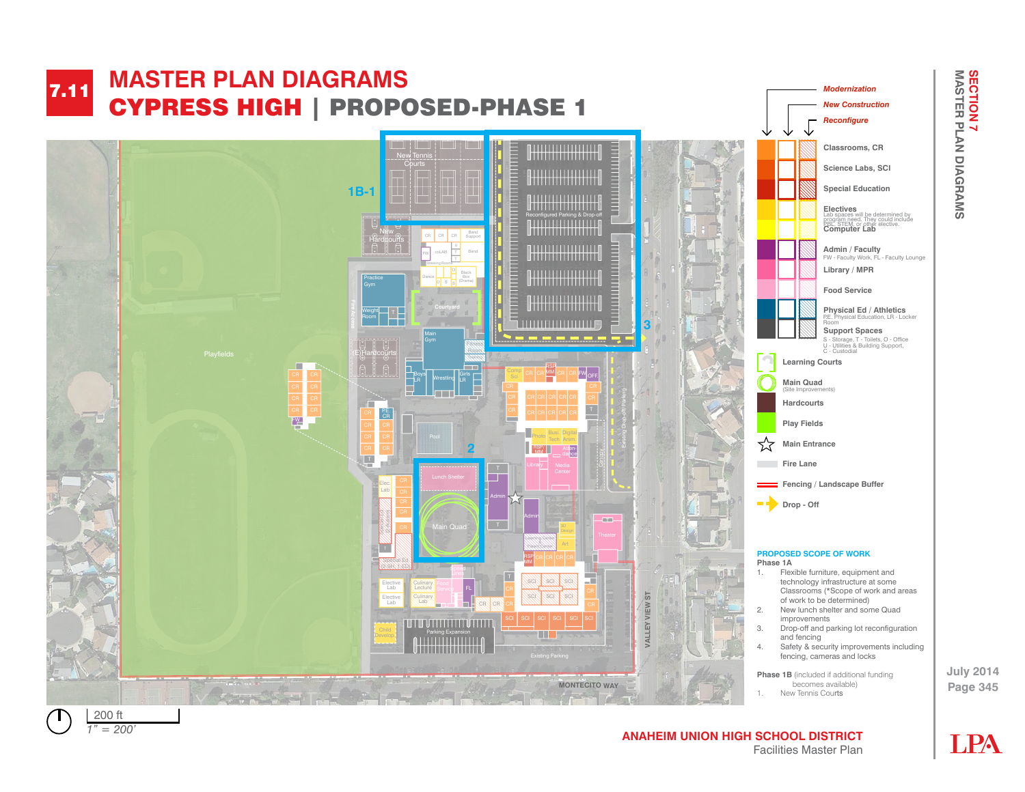

 $1" = 200'$ 

**ANAHEIM UNION HIGH SCHOOL DISTRICT** Facilities Master Plan

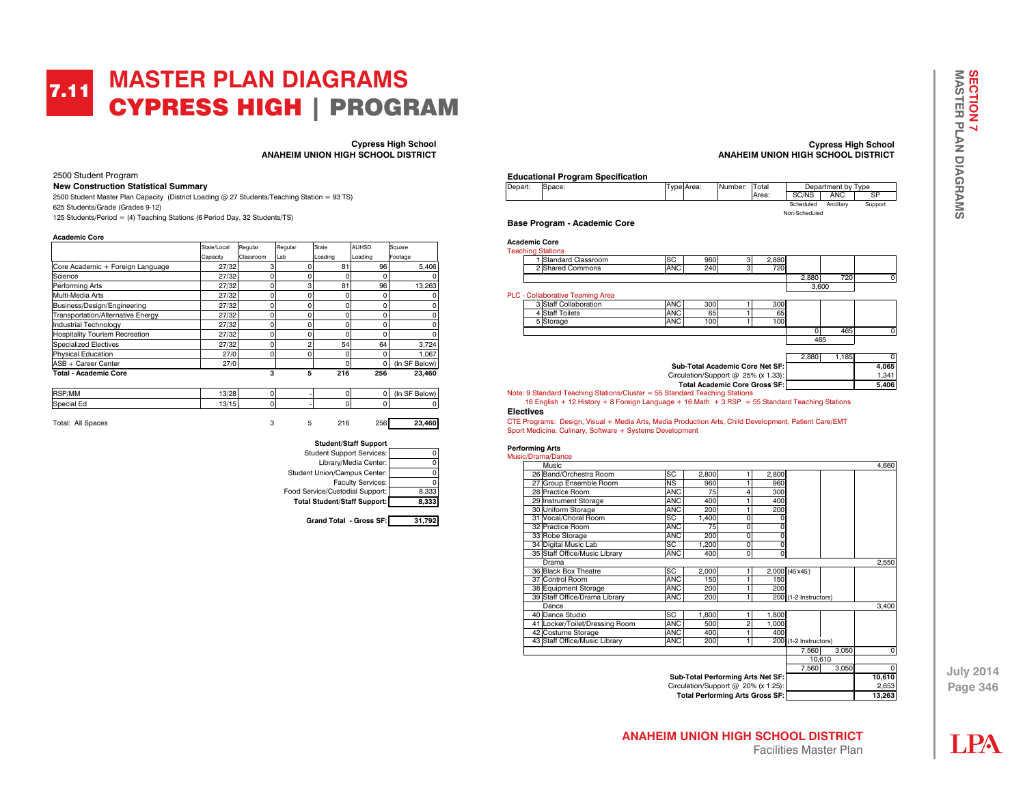## **MASTER PLAN DIAGRAMS**  CYPRESS HIGH | PROGRAM 7.11

**Cypress High School ANAHEIM UNION HIGH SCHOOL DISTRICT**

2500 Student Program

#### **New Construction Statistical Summary**

2500 Student Master Plan Capacity (District Loading @ 27 Students/Teaching Station = 93 TS) 625 Students/Grade (Grades 9-12) 125 Students/Period = (4) Teaching Stations (6 Period Day, 32 Students/TS)

#### **Academic Core**

|                                       | State/Local | Regular   | Regular  | <b>State</b> | <b>AUHSD</b> | Square        |
|---------------------------------------|-------------|-----------|----------|--------------|--------------|---------------|
|                                       | Capacity    | Classroom | Lab      | Loading      | Loading      | Footage       |
| Core Academic + Foreign Language      | 27/32       | 3         |          | 81           | 96           | 5.406         |
| Science                               | 27/32       | ۵         | ŋ        | $\Omega$     | 0            |               |
| Performing Arts                       | 27/32       | O         | 3        | 81           | 96           | 13,263        |
| Multi-Media Arts                      | 27/32       | O         | C        |              | 0            |               |
| Business/Design/Engineering           | 27/32       | Ó         | $\Omega$ | ŋ            | $\Omega$     |               |
| Transportation/Alternative Energy     | 27/32       | ۵         | 0        |              | $\Omega$     |               |
| <b>Industrial Technology</b>          | 27/32       | n         | O        |              | 0            |               |
| <b>Hospitality Tourism Recreation</b> | 27/32       | C         | ŋ        | ŋ            | 0            |               |
| <b>Specialized Electives</b>          | 27/32       | ۵         | 2        | 54           | 64           | 3.724         |
| <b>Physical Education</b>             | 27/0        | n         | ŋ        | ŋ            | 0            | 1.067         |
| ASB + Career Center                   | 27/0        |           |          | $\Omega$     | $\Omega$     | (In SF Below) |
| <b>Total - Academic Core</b>          |             | 3         | 5        | 216          | 256          | 23.460        |

| RSP/MM      | 13/28<br>13/20 | 0 |  | n | ~-<br>(Ir<br>- 1 |
|-------------|----------------|---|--|---|------------------|
| Special<br> | 13/15          | o |  |   |                  |







### **Cypress High School ANAHEIM UNION HIGH SCHOOL DISTRICT**

### **Educational Program Specification**

| Depart: | Space: | Type: Area: | INumber: | 'Total |               | Department by Type |         |
|---------|--------|-------------|----------|--------|---------------|--------------------|---------|
|         |        |             |          | Area:  | SC/NS         | ANC                | SP      |
|         |        |             |          |        | Scheduled     | Ancillarv          | Support |
|         |        |             |          |        | Non-Scheduled |                    |         |

**Base Program - Academic Core** 

| <b>Academic Core</b>                                                                                                                                                           |            |                                       |   |       |       |       |          |
|--------------------------------------------------------------------------------------------------------------------------------------------------------------------------------|------------|---------------------------------------|---|-------|-------|-------|----------|
| <b>Teaching Stations</b>                                                                                                                                                       |            |                                       |   |       |       |       |          |
| Standard Classroom                                                                                                                                                             | SC         | 960                                   | 3 | 2,880 |       |       |          |
| 2 Shared Commons                                                                                                                                                               | ANC        | 240                                   | 3 | 720   |       |       |          |
|                                                                                                                                                                                |            |                                       |   |       | 2.880 | 720   |          |
|                                                                                                                                                                                |            |                                       |   |       | 3,600 |       |          |
| PLC - Collaborative Teaming Area                                                                                                                                               |            |                                       |   |       |       |       |          |
| 3 Staff Collaboration                                                                                                                                                          | ANC        | 300                                   |   | 300   |       |       |          |
| 4 Staff Toilets                                                                                                                                                                | ANC        | 65                                    |   | 65    |       |       |          |
| 5 Storage                                                                                                                                                                      | <b>ANC</b> | 100                                   |   | 100   |       |       |          |
|                                                                                                                                                                                |            |                                       |   |       | O     | 465   | 0        |
|                                                                                                                                                                                |            |                                       |   |       | 465   |       |          |
|                                                                                                                                                                                |            |                                       |   |       |       |       |          |
|                                                                                                                                                                                |            |                                       |   |       | 2.880 | 1.185 | $\Omega$ |
|                                                                                                                                                                                |            | Sub-Total Academic Core Net SF:       |   |       |       |       | 4,065    |
|                                                                                                                                                                                |            | Circulation/Support $@$ 25% (x 1.33): |   |       |       |       | 1,341    |
|                                                                                                                                                                                |            | <b>Total Academic Core Gross SF:</b>  |   |       |       |       | 5,406    |
| Note: 9 Standard Teaching Stations/Cluster = $55$ Standard Teaching Stations<br>16 English + 12 History + 8 Foreign Language + 16 Math + 3 RSP = 55 Standard Teaching Stations |            |                                       |   |       |       |       |          |
|                                                                                                                                                                                |            |                                       |   |       |       |       |          |

#### **Electives**  CTE Programs: Design, Visual + Media Arts, Media Production Arts, Child Development, Patient Care/EMT

Sport Medicine, Culinary, Software + Systems Development

#### **Performing Arts** Mus

|                                        | isic/Drama/Dance               |            |       |                                     |       |                       |       |             |
|----------------------------------------|--------------------------------|------------|-------|-------------------------------------|-------|-----------------------|-------|-------------|
|                                        | Music                          |            |       |                                     |       |                       |       | 4.660       |
|                                        | 26 Band/Orchestra Room         | SC         | 2,800 |                                     | 2,800 |                       |       |             |
|                                        | 27 Group Ensemble Room         | <b>NS</b>  | 960   |                                     | 960   |                       |       |             |
|                                        | 28 Practice Room               | <b>ANC</b> | 75    | 4                                   | 300   |                       |       |             |
|                                        | 29 Instrument Storage          | <b>ANC</b> | 400   |                                     | 400   |                       |       |             |
|                                        | 30 Uniform Storage             | ANC        | 200   |                                     | 200   |                       |       |             |
|                                        | 31 Vocal/Choral Room           | SC         | 1.400 | O                                   |       |                       |       |             |
|                                        | 32 Practice Room               | <b>ANC</b> | 75    | O                                   |       |                       |       |             |
|                                        | 33 Robe Storage                | <b>ANC</b> | 200   | O                                   | 0     |                       |       |             |
|                                        | 34 Digital Music Lab           | SC         | 1,200 | O                                   | 0     |                       |       |             |
|                                        | 35 Staff Office/Music Library  | <b>ANC</b> | 400   | 0                                   | 0     |                       |       |             |
|                                        | Drama                          |            |       |                                     |       |                       |       | 2,550       |
|                                        | 36 Black Box Theatre           | SC         | 2,000 |                                     |       | 2,000 (45'x45')       |       |             |
|                                        | 37 Control Room                | <b>ANC</b> | 150   |                                     | 150   |                       |       |             |
|                                        | 38 Equipment Storage           | <b>ANC</b> | 200   |                                     | 200   |                       |       |             |
|                                        | 39 Staff Office/Drama Library  | <b>ANC</b> | 200   | 1                                   |       | 200 (1-2 Instructors) |       |             |
|                                        | Dance                          |            |       |                                     |       |                       |       | 3,400       |
|                                        | 40 Dance Studio                | SC         | 1,800 |                                     | 1,800 |                       |       |             |
|                                        | 41 Locker/Toilet/Dressing Room | <b>ANC</b> | 500   | 2                                   | 1,000 |                       |       |             |
|                                        | 42 Costume Storage             | <b>ANC</b> | 400   |                                     | 400   |                       |       |             |
|                                        | 43 Staff Office/Music Library  | <b>ANC</b> | 200   | 1                                   |       | 200 (1-2 Instructors) |       |             |
|                                        |                                |            |       |                                     |       | 7,560                 | 3,050 | $\Omega$    |
|                                        |                                |            |       |                                     |       | 10.610                |       |             |
|                                        |                                |            |       |                                     |       | 7,560                 | 3,050 | $\mathbf 0$ |
|                                        |                                |            |       | Sub-Total Performing Arts Net SF:   |       |                       |       | 10,610      |
|                                        |                                |            |       | Circulation/Support @ 20% (x 1.25): |       |                       |       | 2,653       |
| <b>Total Performing Arts Gross SF:</b> |                                |            |       |                                     |       |                       |       | 13.263      |

**LPA**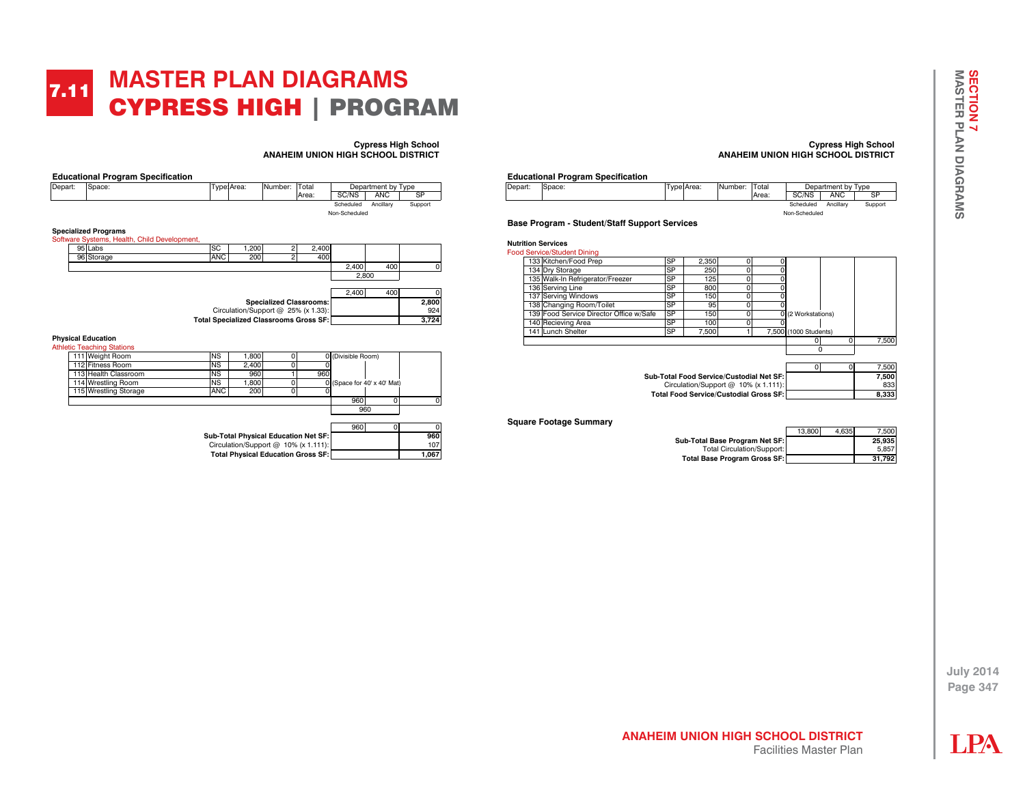## **MASTER PLAN DIAGRAMS**  CYPRESS HIGH | PROGRAM 7.11

**Cypress High School ANAHEIM UNION HIGH SCHOOL DISTRICT**

| Depart: | Space:                                       |           | Type Area: | Number: | Total | Department by Type |            |         |
|---------|----------------------------------------------|-----------|------------|---------|-------|--------------------|------------|---------|
|         |                                              |           |            |         | Area: | SC/NS              | <b>ANC</b> | SP      |
|         |                                              |           |            |         |       | Scheduled          | Ancillarv  | Support |
|         |                                              |           |            |         |       | Non-Scheduled      |            |         |
|         |                                              |           |            |         |       |                    |            |         |
|         | <b>Specialized Programs</b>                  |           |            |         |       |                    |            |         |
|         | Software Systems, Health, Child Development, |           |            |         |       |                    |            |         |
|         | 95 Labs                                      | <b>SC</b> | 1,200      |         | 2.400 |                    |            |         |

| <b>95 ILADS</b> | שכו                                    | 1.200 I                             |                                | <b>2.400</b> |       |     |       |
|-----------------|----------------------------------------|-------------------------------------|--------------------------------|--------------|-------|-----|-------|
| 96 Storage      | <b>ANC</b>                             | 200                                 |                                | 400          |       |     |       |
|                 |                                        |                                     |                                |              | 2.400 | 400 |       |
|                 |                                        |                                     |                                |              | 2.800 |     |       |
|                 |                                        |                                     |                                |              | 2.400 | 400 |       |
|                 |                                        |                                     | <b>Specialized Classrooms:</b> |              |       |     | 2,800 |
|                 |                                        | Circulation/Support @ 25% (x 1.33): |                                |              |       |     | 924   |
|                 | Total Specialized Classrooms Gross SF: |                                     |                                |              |       |     | 3.724 |
|                 |                                        |                                     |                                |              |       |     |       |

#### **Physical Education** Ath

| letic Teaching Stations                   |            |                                      |  |     |                    |                             |       |
|-------------------------------------------|------------|--------------------------------------|--|-----|--------------------|-----------------------------|-------|
| 111 Weight Room                           | <b>NS</b>  | 1.800                                |  |     | 0 (Divisible Room) |                             |       |
| 112 Fitness Room                          | <b>NS</b>  | 2.400                                |  |     |                    |                             |       |
| 113 Health Classroom                      | <b>NS</b>  | 960                                  |  | 960 |                    |                             |       |
| 114 Wrestling Room                        | <b>NS</b>  | 1.800                                |  |     |                    | 0 (Space for 40' x 40' Mat) |       |
| 115 Wrestling Storage                     | <b>ANC</b> | 200                                  |  |     |                    |                             |       |
|                                           |            |                                      |  |     | 960                |                             |       |
|                                           | 960        |                                      |  |     |                    |                             |       |
|                                           |            |                                      |  |     | 960                |                             |       |
|                                           |            | Sub-Total Physical Education Net SF: |  |     |                    |                             | 960   |
| Circulation/Support @ 10% (x 1.111):      |            |                                      |  |     |                    |                             | 107   |
| <b>Total Physical Education Gross SF:</b> |            |                                      |  |     |                    |                             | 1,067 |

### **Cypress High School ANAHEIM UNION HIGH SCHOOL DISTRICT**

# **Educational Program Specification**<br>Depart: Space:

| Depart: | Space: | Type Area: | INumber: | Total |               | Department by Type |         |
|---------|--------|------------|----------|-------|---------------|--------------------|---------|
|         |        |            |          | Area: | SC/NS         | <b>ANC</b>         | SF      |
|         |        |            |          |       | Scheduled     | Ancillarv          | Support |
|         |        |            |          |       | Non-Scheduled |                    |         |

### **Base Program - Student/Staff Support Services**

| <b>Nutrition Services</b><br><b>Food Service/Student Dining</b> |                                         |           |                                        |   |  |                       |   |       |
|-----------------------------------------------------------------|-----------------------------------------|-----------|----------------------------------------|---|--|-----------------------|---|-------|
| 133 Kitchen/Food Prep                                           |                                         | <b>SP</b> | 2.350                                  |   |  |                       |   |       |
| 134 Dry Storage                                                 |                                         | <b>SP</b> | 250                                    | 0 |  |                       |   |       |
| 135 Walk-In Refrigerator/Freezer                                |                                         | <b>SP</b> | 125                                    | 0 |  |                       |   |       |
| 136 Serving Line                                                |                                         | <b>SP</b> | 800                                    | 0 |  |                       |   |       |
| 137 Serving Windows                                             |                                         | <b>SP</b> | 150                                    | 0 |  |                       |   |       |
| 138 Changing Room/Toilet                                        |                                         | <b>SP</b> | 95                                     | 0 |  |                       |   |       |
|                                                                 | 139 Food Service Director Office w/Safe | <b>SP</b> | 150                                    | O |  | 0 (2 Workstations)    |   |       |
| 140 Recieving Area                                              |                                         | <b>SP</b> | 100                                    | 0 |  |                       |   |       |
| 141 Lunch Shelter                                               |                                         | <b>SP</b> | 7.500                                  |   |  | 7,500 (1000 Students) |   |       |
|                                                                 |                                         |           |                                        |   |  | O                     | 0 | 7.500 |
|                                                                 |                                         |           |                                        |   |  | $\Omega$              |   |       |
|                                                                 |                                         |           |                                        |   |  |                       |   |       |
|                                                                 |                                         |           |                                        |   |  | 0                     |   | 7,500 |
| Sub-Total Food Service/Custodial Net SF:                        |                                         |           |                                        |   |  |                       |   | 7.500 |
|                                                                 |                                         |           | Circulation/Support $@$ 10% (x 1.111): |   |  |                       |   | 833   |
| <b>Total Food Service/Custodial Gross SF:</b>                   |                                         |           |                                        |   |  |                       |   | 8.333 |

#### **Square Footage Summary**

|                                     | 13,800 | 4.635 | 7.500  |
|-------------------------------------|--------|-------|--------|
| Sub-Total Base Program Net SF:      |        |       | 25.935 |
| <b>Total Circulation/Support:</b>   |        |       | 5.857  |
| <b>Total Base Program Gross SF:</b> |        |       | 31.792 |